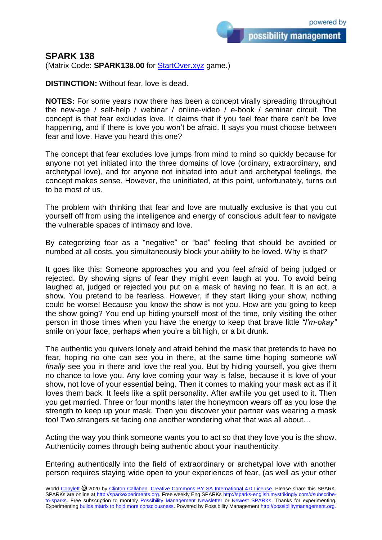possibility management

## **SPARK 138**

(Matrix Code: **SPARK138.00** for **StartOver.xyz** game.)

**DISTINCTION:** Without fear, love is dead.

**NOTES:** For some years now there has been a concept virally spreading throughout the new-age / self-help / webinar / online-video / e-book / seminar circuit. The concept is that fear excludes love. It claims that if you feel fear there can't be love happening, and if there is love you won't be afraid. It says you must choose between fear and love. Have you heard this one?

The concept that fear excludes love jumps from mind to mind so quickly because for anyone not yet initiated into the three domains of love (ordinary, extraordinary, and archetypal love), and for anyone not initiated into adult and archetypal feelings, the concept makes sense. However, the uninitiated, at this point, unfortunately, turns out to be most of us.

The problem with thinking that fear and love are mutually exclusive is that you cut yourself off from using the intelligence and energy of conscious adult fear to navigate the vulnerable spaces of intimacy and love.

By categorizing fear as a "negative" or "bad" feeling that should be avoided or numbed at all costs, you simultaneously block your ability to be loved. Why is that?

It goes like this: Someone approaches you and you feel afraid of being judged or rejected. By showing signs of fear they might even laugh at you. To avoid being laughed at, judged or rejected you put on a mask of having no fear. It is an act, a show. You pretend to be fearless. However, if they start liking your show, nothing could be worse! Because you know the show is not you. How are you going to keep the show going? You end up hiding yourself most of the time, only visiting the other person in those times when you have the energy to keep that brave little *"I'm-okay"* smile on your face, perhaps when you're a bit high, or a bit drunk.

The authentic you quivers lonely and afraid behind the mask that pretends to have no fear, hoping no one can see you in there, at the same time hoping someone *will finally* see you in there and love the real you. But by hiding yourself, you give them no chance to love you. Any love coming your way is false, because it is love of your show, not love of your essential being. Then it comes to making your mask act as if it loves them back. It feels like a split personality. After awhile you get used to it. Then you get married. Three or four months later the honeymoon wears off as you lose the strength to keep up your mask. Then you discover your partner was wearing a mask too! Two strangers sit facing one another wondering what that was all about…

Acting the way you think someone wants you to act so that they love you is the show. Authenticity comes through being authentic about your inauthenticity.

Entering authentically into the field of extraordinary or archetypal love with another person requires staying wide open to your experiences of fear, (as well as your other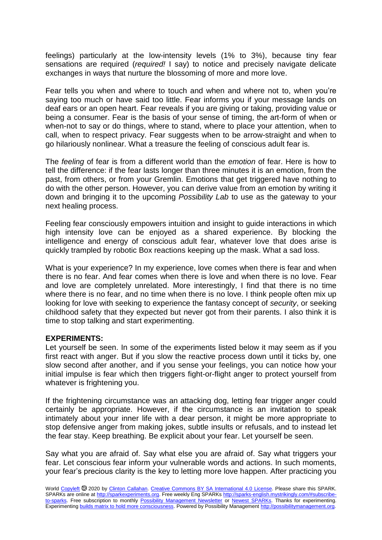feelings) particularly at the low-intensity levels (1% to 3%), because tiny fear sensations are required (*required!* I say) to notice and precisely navigate delicate exchanges in ways that nurture the blossoming of more and more love.

Fear tells you when and where to touch and when and where not to, when you're saying too much or have said too little. Fear informs you if your message lands on deaf ears or an open heart. Fear reveals if you are giving or taking, providing value or being a consumer. Fear is the basis of your sense of timing, the art-form of when or when-not to say or do things, where to stand, where to place your attention, when to call, when to respect privacy. Fear suggests when to be arrow-straight and when to go hilariously nonlinear. What a treasure the feeling of conscious adult fear is.

The *feeling* of fear is from a different world than the *emotion* of fear. Here is how to tell the difference: if the fear lasts longer than three minutes it is an emotion, from the past, from others, or from your Gremlin. Emotions that get triggered have nothing to do with the other person. However, you can derive value from an emotion by writing it down and bringing it to the upcoming *Possibility Lab* to use as the gateway to your next healing process.

Feeling fear consciously empowers intuition and insight to guide interactions in which high intensity love can be enjoyed as a shared experience. By blocking the intelligence and energy of conscious adult fear, whatever love that does arise is quickly trampled by robotic Box reactions keeping up the mask. What a sad loss.

What is your experience? In my experience, love comes when there is fear and when there is no fear. And fear comes when there is love and when there is no love. Fear and love are completely unrelated. More interestingly, I find that there is no time where there is no fear, and no time when there is no love. I think people often mix up looking for love with seeking to experience the fantasy concept of *security*, or seeking childhood safety that they expected but never got from their parents. I also think it is time to stop talking and start experimenting.

## **EXPERIMENTS:**

Let yourself be seen. In some of the experiments listed below it may seem as if you first react with anger. But if you slow the reactive process down until it ticks by, one slow second after another, and if you sense your feelings, you can notice how your initial impulse is fear which then triggers fight-or-flight anger to protect yourself from whatever is frightening you.

If the frightening circumstance was an attacking dog, letting fear trigger anger could certainly be appropriate. However, if the circumstance is an invitation to speak intimately about your inner life with a dear person, it might be more appropriate to stop defensive anger from making jokes, subtle insults or refusals, and to instead let the fear stay. Keep breathing. Be explicit about your fear. Let yourself be seen.

Say what you are afraid of. Say what else you are afraid of. Say what triggers your fear. Let conscious fear inform your vulnerable words and actions. In such moments, your fear's precious clarity is the key to letting more love happen. After practicing you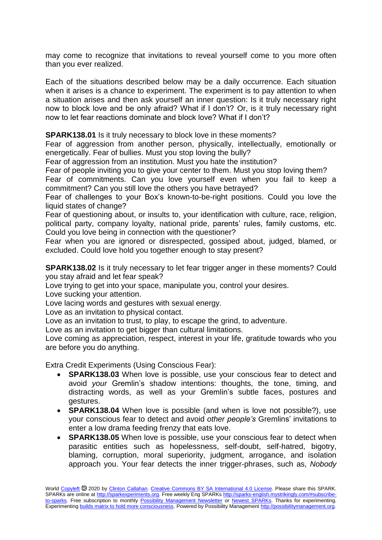may come to recognize that invitations to reveal yourself come to you more often than you ever realized.

Each of the situations described below may be a daily occurrence. Each situation when it arises is a chance to experiment. The experiment is to pay attention to when a situation arises and then ask yourself an inner question: Is it truly necessary right now to block love and be only afraid? What if I don't? Or, is it truly necessary right now to let fear reactions dominate and block love? What if I don't?

**SPARK138.01** Is it truly necessary to block love in these moments?

Fear of aggression from another person, physically, intellectually, emotionally or energetically. Fear of bullies. Must you stop loving the bully?

Fear of aggression from an institution. Must you hate the institution?

Fear of people inviting you to give your center to them. Must you stop loving them?

Fear of commitments. Can you love yourself even when you fail to keep a commitment? Can you still love the others you have betrayed?

Fear of challenges to your Box's known-to-be-right positions. Could you love the liquid states of change?

Fear of questioning about, or insults to, your identification with culture, race, religion, political party, company loyalty, national pride, parents' rules, family customs, etc. Could you love being in connection with the questioner?

Fear when you are ignored or disrespected, gossiped about, judged, blamed, or excluded. Could love hold you together enough to stay present?

**SPARK138.02** Is it truly necessary to let fear trigger anger in these moments? Could you stay afraid and let fear speak?

Love trying to get into your space, manipulate you, control your desires.

Love sucking your attention.

Love lacing words and gestures with sexual energy.

Love as an invitation to physical contact.

Love as an invitation to trust, to play, to escape the grind, to adventure.

Love as an invitation to get bigger than cultural limitations.

Love coming as appreciation, respect, interest in your life, gratitude towards who you are before you do anything.

Extra Credit Experiments (Using Conscious Fear):

- **SPARK138.03** When love is possible, use your conscious fear to detect and avoid *your* Gremlin's shadow intentions: thoughts, the tone, timing, and distracting words, as well as your Gremlin's subtle faces, postures and gestures.
- **SPARK138.04** When love is possible (and when is love not possible?), use your conscious fear to detect and avoid *other people's* Gremlins' invitations to enter a low drama feeding frenzy that eats love.
- **SPARK138.05** When love is possible, use your conscious fear to detect when parasitic entities such as hopelessness, self-doubt, self-hatred, bigotry, blaming, corruption, moral superiority, judgment, arrogance, and isolation approach you. Your fear detects the inner trigger-phrases, such as, *Nobody*